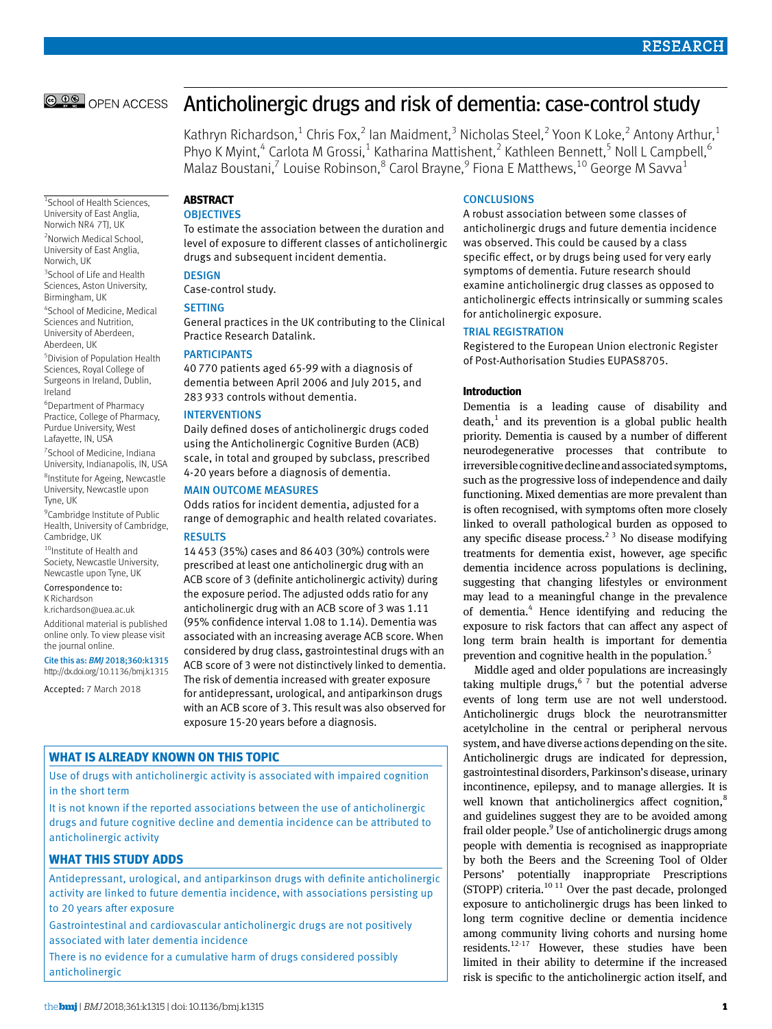© 0 OPEN ACCESS

# Anticholinergic drugs and risk of dementia: case-control study

Kathryn Richardson,<sup>1</sup> Chris Fox,<sup>2</sup> lan Maidment,<sup>3</sup> Nicholas Steel,<sup>2</sup> Yoon K Loke,<sup>2</sup> Antony Arthur,<sup>1</sup> Phyo K Myint,<sup>4</sup> Carlota M Grossi,<sup>1</sup> Katharina Mattishent,<sup>2</sup> Kathleen Bennett,<sup>5</sup> Noll L Campbell,<sup>6</sup> Malaz Boustani,<sup>7</sup> Louise Robinson,<sup>8</sup> Carol Brayne,<sup>9</sup> Fiona E Matthews,<sup>10</sup> George M Savva<sup>1</sup>

1 School of Health Sciences, University of East Anglia, Norwich NR4 7TJ, UK 2 Norwich Medical School, University of East Anglia, Norwich, UK

<sup>3</sup> School of Life and Health Sciences, Aston University, Birmingham, UK

4 School of Medicine, Medical Sciences and Nutrition, University of Aberdeen, Aberdeen, UK

5 Division of Population Health Sciences, Royal College of Surgeons in Ireland, Dublin, Ireland

6 Department of Pharmacy Practice, College of Pharmacy, Purdue University, West Lafayette, IN, USA

7 School of Medicine, Indiana University, Indianapolis, IN, USA 8 Institute for Ageing, Newcastle University, Newcastle upon Tyne, UK

<sup>9</sup> Cambridge Institute of Public Health, University of Cambridge, Cambridge, UK

 $10$ Institute of Health and Society, Newcastle University, Newcastle upon Tyne, UK

Correspondence to: K Richardson

[k.richardson@uea.ac.uk](mailto:k.richardson@uea.ac.uk)

Additional material is published online only. To view please visit the journal online.

Cite this as: *BMJ* 2018;360:k1315 http://dx.doi.org/10.1136/bmj.k1315

Accepted: 7 March 2018

# **ABSTRACT**

## **OBJECTIVES**

To estimate the association between the duration and level of exposure to different classes of anticholinergic drugs and subsequent incident dementia.

**DESIGN** 

Case-control study.

# SETTING

General practices in the UK contributing to the Clinical Practice Research Datalink.

#### PARTICIPANTS

40 770 patients aged 65-99 with a diagnosis of dementia between April 2006 and July 2015, and 283 933 controls without dementia.

# INTERVENTIONS

Daily defined doses of anticholinergic drugs coded using the Anticholinergic Cognitive Burden (ACB) scale, in total and grouped by subclass, prescribed 4-20 years before a diagnosis of dementia.

# MAIN OUTCOME MEASURES

Odds ratios for incident dementia, adjusted for a range of demographic and health related covariates. **RESULTS** 

14453 (35%) cases and 86403 (30%) controls were prescribed at least one anticholinergic drug with an ACB score of 3 (definite anticholinergic activity) during the exposure period. The adjusted odds ratio for any anticholinergic drug with an ACB score of 3 was 1.11 (95% confidence interval 1.08 to 1.14). Dementia was associated with an increasing average ACB score. When considered by drug class, gastrointestinal drugs with an ACB score of 3 were not distinctively linked to dementia. The risk of dementia increased with greater exposure for antidepressant, urological, and antiparkinson drugs with an ACB score of 3. This result was also observed for exposure 15-20 years before a diagnosis.

# **What is already known on this topic**

Use of drugs with anticholinergic activity is associated with impaired cognition in the short term

It is not known if the reported associations between the use of anticholinergic drugs and future cognitive decline and dementia incidence can be attributed to anticholinergic activity

# **What this study adds**

Antidepressant, urological, and antiparkinson drugs with definite anticholinergic activity are linked to future dementia incidence, with associations persisting up to 20 years after exposure

Gastrointestinal and cardiovascular anticholinergic drugs are not positively associated with later dementia incidence

There is no evidence for a cumulative harm of drugs considered possibly anticholinergic

# **CONCLUSIONS**

A robust association between some classes of anticholinergic drugs and future dementia incidence was observed. This could be caused by a class specific effect, or by drugs being used for very early symptoms of dementia. Future research should examine anticholinergic drug classes as opposed to anticholinergic effects intrinsically or summing scales for anticholinergic exposure.

## TRIAL REGISTRATION

Registered to the European Union electronic Register of Post-Authorisation Studies EUPAS8705.

## **Introduction**

Dementia is a leading cause of disability and  $death, 1$  and its prevention is a global public health priority. Dementia is caused by a number of different neurodegenerative processes that contribute to irreversible cognitive decline and associated symptoms, such as the progressive loss of independence and daily functioning. Mixed dementias are more prevalent than is often recognised, with symptoms often more closely linked to overall pathological burden as opposed to any specific disease process.<sup>2 3</sup> No disease modifying treatments for dementia exist, however, age specific dementia incidence across populations is declining, suggesting that changing lifestyles or environment may lead to a meaningful change in the prevalence of dementia.<sup>4</sup> Hence identifying and reducing the exposure to risk factors that can affect any aspect of long term brain health is important for dementia prevention and cognitive health in the population.<sup>5</sup>

Middle aged and older populations are increasingly taking multiple drugs,  $67$  but the potential adverse events of long term use are not well understood. Anticholinergic drugs block the neurotransmitter acetylcholine in the central or peripheral nervous system, and have diverse actions depending on the site. Anticholinergic drugs are indicated for depression, gastrointestinal disorders, Parkinson's disease, urinary incontinence, epilepsy, and to manage allergies. It is well known that anticholinergics affect cognition, $8$ and guidelines suggest they are to be avoided among frail older people.<sup>9</sup> Use of anticholinergic drugs among people with dementia is recognised as inappropriate by both the Beers and the Screening Tool of Older Persons' potentially inappropriate Prescriptions (STOPP) criteria. $10^{11}$  Over the past decade, prolonged exposure to anticholinergic drugs has been linked to long term cognitive decline or dementia incidence among community living cohorts and nursing home residents.12-17 However, these studies have been limited in their ability to determine if the increased risk is specific to the anticholinergic action itself, and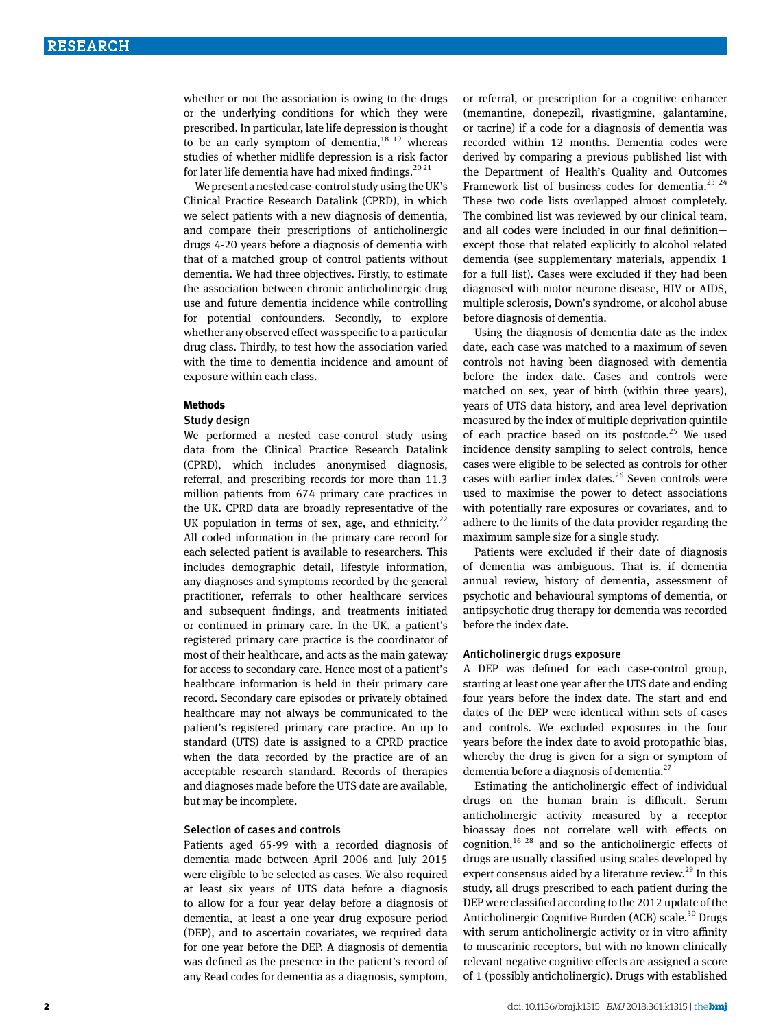whether or not the association is owing to the drugs or the underlying conditions for which they were prescribed. In particular, late life depression is thought to be an early symptom of dementia,  $18^{19}$  whereas studies of whether midlife depression is a risk factor for later life dementia have had mixed findings.<sup>20 21</sup>

We present a nested case-control study using the UK's Clinical Practice Research Datalink (CPRD), in which we select patients with a new diagnosis of dementia, and compare their prescriptions of anticholinergic drugs 4-20 years before a diagnosis of dementia with that of a matched group of control patients without dementia. We had three objectives. Firstly, to estimate the association between chronic anticholinergic drug use and future dementia incidence while controlling for potential confounders. Secondly, to explore whether any observed effect was specific to a particular drug class. Thirdly, to test how the association varied with the time to dementia incidence and amount of exposure within each class.

#### **Methods**

#### Study design

We performed a nested case-control study using data from the Clinical Practice Research Datalink (CPRD), which includes anonymised diagnosis, referral, and prescribing records for more than 11.3 million patients from 674 primary care practices in the UK. CPRD data are broadly representative of the UK population in terms of sex, age, and ethnicity.<sup>22</sup> All coded information in the primary care record for each selected patient is available to researchers. This includes demographic detail, lifestyle information, any diagnoses and symptoms recorded by the general practitioner, referrals to other healthcare services and subsequent findings, and treatments initiated or continued in primary care. In the UK, a patient's registered primary care practice is the coordinator of most of their healthcare, and acts as the main gateway for access to secondary care. Hence most of a patient's healthcare information is held in their primary care record. Secondary care episodes or privately obtained healthcare may not always be communicated to the patient's registered primary care practice. An up to standard (UTS) date is assigned to a CPRD practice when the data recorded by the practice are of an acceptable research standard. Records of therapies and diagnoses made before the UTS date are available, but may be incomplete.

## Selection of cases and controls

Patients aged 65-99 with a recorded diagnosis of dementia made between April 2006 and July 2015 were eligible to be selected as cases. We also required at least six years of UTS data before a diagnosis to allow for a four year delay before a diagnosis of dementia, at least a one year drug exposure period (DEP), and to ascertain covariates, we required data for one year before the DEP. A diagnosis of dementia was defined as the presence in the patient's record of any Read codes for dementia as a diagnosis, symptom,

or referral, or prescription for a cognitive enhancer (memantine, donepezil, rivastigmine, galantamine, or tacrine) if a code for a diagnosis of dementia was recorded within 12 months. Dementia codes were derived by comparing a previous published list with the Department of Health's Quality and Outcomes Framework list of business codes for dementia.<sup>23 24</sup> These two code lists overlapped almost completely. The combined list was reviewed by our clinical team, and all codes were included in our final definition except those that related explicitly to alcohol related dementia (see supplementary materials, appendix 1 for a full list). Cases were excluded if they had been diagnosed with motor neurone disease, HIV or AIDS, multiple sclerosis, Down's syndrome, or alcohol abuse before diagnosis of dementia.

Using the diagnosis of dementia date as the index date, each case was matched to a maximum of seven controls not having been diagnosed with dementia before the index date. Cases and controls were matched on sex, year of birth (within three years), years of UTS data history, and area level deprivation measured by the index of multiple deprivation quintile of each practice based on its postcode. $25$  We used incidence density sampling to select controls, hence cases were eligible to be selected as controls for other cases with earlier index dates.<sup>26</sup> Seven controls were used to maximise the power to detect associations with potentially rare exposures or covariates, and to adhere to the limits of the data provider regarding the maximum sample size for a single study.

Patients were excluded if their date of diagnosis of dementia was ambiguous. That is, if dementia annual review, history of dementia, assessment of psychotic and behavioural symptoms of dementia, or antipsychotic drug therapy for dementia was recorded before the index date.

# Anticholinergic drugs exposure

A DEP was defined for each case-control group, starting at least one year after the UTS date and ending four years before the index date. The start and end dates of the DEP were identical within sets of cases and controls. We excluded exposures in the four years before the index date to avoid protopathic bias, whereby the drug is given for a sign or symptom of dementia before a diagnosis of dementia.<sup>27</sup>

Estimating the anticholinergic effect of individual drugs on the human brain is difficult. Serum anticholinergic activity measured by a receptor bioassay does not correlate well with effects on cognition,  $16 \times 28$  and so the anticholinergic effects of drugs are usually classified using scales developed by expert consensus aided by a literature review.<sup>29</sup> In this study, all drugs prescribed to each patient during the DEP were classified according to the 2012 update of the Anticholinergic Cognitive Burden (ACB) scale.<sup>30</sup> Drugs with serum anticholinergic activity or in vitro affinity to muscarinic receptors, but with no known clinically relevant negative cognitive effects are assigned a score of 1 (possibly anticholinergic). Drugs with established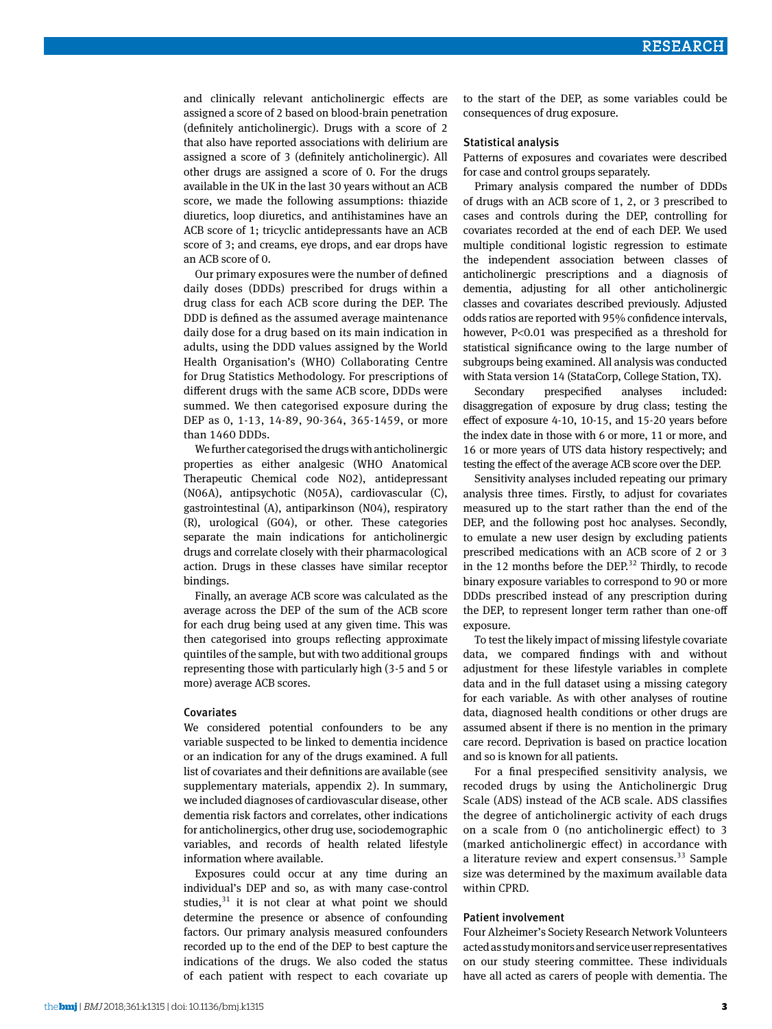and clinically relevant anticholinergic effects are assigned a score of 2 based on blood-brain penetration (definitely anticholinergic). Drugs with a score of 2 that also have reported associations with delirium are assigned a score of 3 (definitely anticholinergic). All other drugs are assigned a score of 0. For the drugs available in the UK in the last 30 years without an ACB score, we made the following assumptions: thiazide diuretics, loop diuretics, and antihistamines have an ACB score of 1; tricyclic antidepressants have an ACB score of 3; and creams, eye drops, and ear drops have an ACB score of 0.

Our primary exposures were the number of defined daily doses (DDDs) prescribed for drugs within a drug class for each ACB score during the DEP. The DDD is defined as the assumed average maintenance daily dose for a drug based on its main indication in adults, using the DDD values assigned by the World Health Organisation's (WHO) Collaborating Centre for Drug Statistics Methodology. For prescriptions of different drugs with the same ACB score, DDDs were summed. We then categorised exposure during the DEP as 0, 1-13, 14-89, 90-364, 365-1459, or more than 1460 DDDs.

We further categorised the drugs with anticholinergic properties as either analgesic (WHO Anatomical Therapeutic Chemical code N02), antidepressant (N06A), antipsychotic (N05A), cardiovascular (C), gastrointestinal (A), antiparkinson (N04), respiratory (R), urological (G04), or other. These categories separate the main indications for anticholinergic drugs and correlate closely with their pharmacological action. Drugs in these classes have similar receptor bindings.

Finally, an average ACB score was calculated as the average across the DEP of the sum of the ACB score for each drug being used at any given time. This was then categorised into groups reflecting approximate quintiles of the sample, but with two additional groups representing those with particularly high (3-5 and 5 or more) average ACB scores.

#### Covariates

We considered potential confounders to be any variable suspected to be linked to dementia incidence or an indication for any of the drugs examined. A full list of covariates and their definitions are available (see supplementary materials, appendix 2). In summary, we included diagnoses of cardiovascular disease, other dementia risk factors and correlates, other indications for anticholinergics, other drug use, sociodemographic variables, and records of health related lifestyle information where available.

Exposures could occur at any time during an individual's DEP and so, as with many case-control studies, $31$  it is not clear at what point we should determine the presence or absence of confounding factors. Our primary analysis measured confounders recorded up to the end of the DEP to best capture the indications of the drugs. We also coded the status of each patient with respect to each covariate up

to the start of the DEP, as some variables could be consequences of drug exposure.

## Statistical analysis

Patterns of exposures and covariates were described for case and control groups separately.

Primary analysis compared the number of DDDs of drugs with an ACB score of 1, 2, or 3 prescribed to cases and controls during the DEP, controlling for covariates recorded at the end of each DEP. We used multiple conditional logistic regression to estimate the independent association between classes of anticholinergic prescriptions and a diagnosis of dementia, adjusting for all other anticholinergic classes and covariates described previously. Adjusted odds ratios are reported with 95% confidence intervals, however, P<0.01 was prespecified as a threshold for statistical significance owing to the large number of subgroups being examined. All analysis was conducted with Stata version 14 (StataCorp, College Station, TX).

Secondary prespecified analyses included: disaggregation of exposure by drug class; testing the effect of exposure 4-10, 10-15, and 15-20 years before the index date in those with 6 or more, 11 or more, and 16 or more years of UTS data history respectively; and testing the effect of the average ACB score over the DEP.

Sensitivity analyses included repeating our primary analysis three times. Firstly, to adjust for covariates measured up to the start rather than the end of the DEP, and the following post hoc analyses. Secondly, to emulate a new user design by excluding patients prescribed medications with an ACB score of 2 or 3 in the 12 months before the DEP.<sup>32</sup> Thirdly, to recode binary exposure variables to correspond to 90 or more DDDs prescribed instead of any prescription during the DEP, to represent longer term rather than one-off exposure.

To test the likely impact of missing lifestyle covariate data, we compared findings with and without adjustment for these lifestyle variables in complete data and in the full dataset using a missing category for each variable. As with other analyses of routine data, diagnosed health conditions or other drugs are assumed absent if there is no mention in the primary care record. Deprivation is based on practice location and so is known for all patients.

For a final prespecified sensitivity analysis, we recoded drugs by using the Anticholinergic Drug Scale (ADS) instead of the ACB scale. ADS classifies the degree of anticholinergic activity of each drugs on a scale from 0 (no anticholinergic effect) to 3 (marked anticholinergic effect) in accordance with a literature review and expert consensus.<sup>33</sup> Sample size was determined by the maximum available data within CPRD.

# Patient involvement

Four Alzheimer's Society Research Network Volunteers acted as study monitors and service user representatives on our study steering committee. These individuals have all acted as carers of people with dementia. The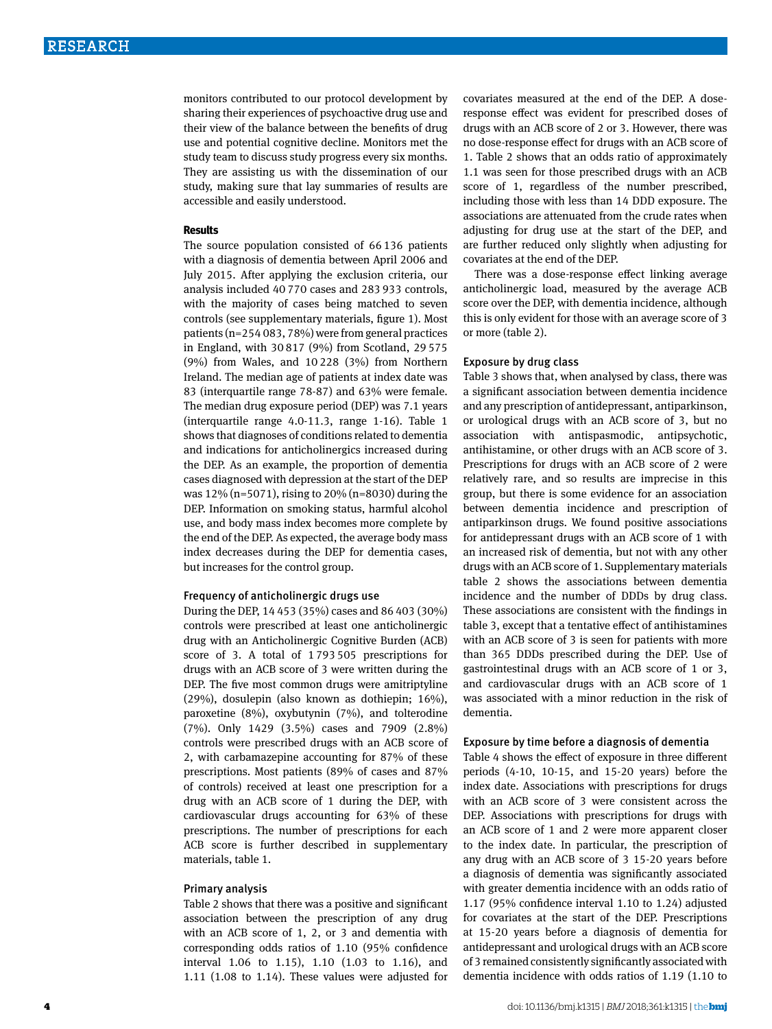monitors contributed to our protocol development by sharing their experiences of psychoactive drug use and their view of the balance between the benefits of drug use and potential cognitive decline. Monitors met the study team to discuss study progress every six months. They are assisting us with the dissemination of our study, making sure that lay summaries of results are accessible and easily understood.

# **Results**

The source population consisted of 66 136 patients with a diagnosis of dementia between April 2006 and July 2015. After applying the exclusion criteria, our analysis included 40 770 cases and 283 933 controls, with the majority of cases being matched to seven controls (see supplementary materials, figure 1). Most patients (n=254 083, 78%) were from general practices in England, with 30 817 (9%) from Scotland, 29 575 (9%) from Wales, and 10 228 (3%) from Northern Ireland. The median age of patients at index date was 83 (interquartile range 78-87) and 63% were female. The median drug exposure period (DEP) was 7.1 years (interquartile range 4.0-11.3, range 1-16). Table 1 shows that diagnoses of conditions related to dementia and indications for anticholinergics increased during the DEP. As an example, the proportion of dementia cases diagnosed with depression at the start of the DEP was 12% (n=5071), rising to 20% (n=8030) during the DEP. Information on smoking status, harmful alcohol use, and body mass index becomes more complete by the end of the DEP. As expected, the average body mass index decreases during the DEP for dementia cases, but increases for the control group.

# Frequency of anticholinergic drugs use

During the DEP, 14 453 (35%) cases and 86 403 (30%) controls were prescribed at least one anticholinergic drug with an Anticholinergic Cognitive Burden (ACB) score of 3. A total of 1 793 505 prescriptions for drugs with an ACB score of 3 were written during the DEP. The five most common drugs were amitriptyline (29%), dosulepin (also known as dothiepin; 16%), paroxetine (8%), oxybutynin (7%), and tolterodine (7%). Only 1429 (3.5%) cases and 7909 (2.8%) controls were prescribed drugs with an ACB score of 2, with carbamazepine accounting for 87% of these prescriptions. Most patients (89% of cases and 87% of controls) received at least one prescription for a drug with an ACB score of 1 during the DEP, with cardiovascular drugs accounting for 63% of these prescriptions. The number of prescriptions for each ACB score is further described in supplementary materials, table 1.

# Primary analysis

Table 2 shows that there was a positive and significant association between the prescription of any drug with an ACB score of 1, 2, or 3 and dementia with corresponding odds ratios of 1.10 (95% confidence interval 1.06 to 1.15), 1.10 (1.03 to 1.16), and 1.11 (1.08 to 1.14). These values were adjusted for

covariates measured at the end of the DEP. A doseresponse effect was evident for prescribed doses of drugs with an ACB score of 2 or 3. However, there was no dose-response effect for drugs with an ACB score of 1. Table 2 shows that an odds ratio of approximately 1.1 was seen for those prescribed drugs with an ACB score of 1, regardless of the number prescribed, including those with less than 14 DDD exposure. The associations are attenuated from the crude rates when adjusting for drug use at the start of the DEP, and are further reduced only slightly when adjusting for covariates at the end of the DEP.

There was a dose-response effect linking average anticholinergic load, measured by the average ACB score over the DEP, with dementia incidence, although this is only evident for those with an average score of 3 or more (table 2).

#### Exposure by drug class

Table 3 shows that, when analysed by class, there was a significant association between dementia incidence and any prescription of antidepressant, antiparkinson, or urological drugs with an ACB score of 3, but no association with antispasmodic, antipsychotic, antihistamine, or other drugs with an ACB score of 3. Prescriptions for drugs with an ACB score of 2 were relatively rare, and so results are imprecise in this group, but there is some evidence for an association between dementia incidence and prescription of antiparkinson drugs. We found positive associations for antidepressant drugs with an ACB score of 1 with an increased risk of dementia, but not with any other drugs with an ACB score of 1. Supplementary materials table 2 shows the associations between dementia incidence and the number of DDDs by drug class. These associations are consistent with the findings in table 3, except that a tentative effect of antihistamines with an ACB score of 3 is seen for patients with more than 365 DDDs prescribed during the DEP. Use of gastrointestinal drugs with an ACB score of 1 or 3, and cardiovascular drugs with an ACB score of 1 was associated with a minor reduction in the risk of dementia.

## Exposure by time before a diagnosis of dementia

Table 4 shows the effect of exposure in three different periods (4-10, 10-15, and 15-20 years) before the index date. Associations with prescriptions for drugs with an ACB score of 3 were consistent across the DEP. Associations with prescriptions for drugs with an ACB score of 1 and 2 were more apparent closer to the index date. In particular, the prescription of any drug with an ACB score of 3 15-20 years before a diagnosis of dementia was significantly associated with greater dementia incidence with an odds ratio of 1.17 (95% confidence interval 1.10 to 1.24) adjusted for covariates at the start of the DEP. Prescriptions at 15-20 years before a diagnosis of dementia for antidepressant and urological drugs with an ACB score of 3 remained consistently significantly associated with dementia incidence with odds ratios of 1.19 (1.10 to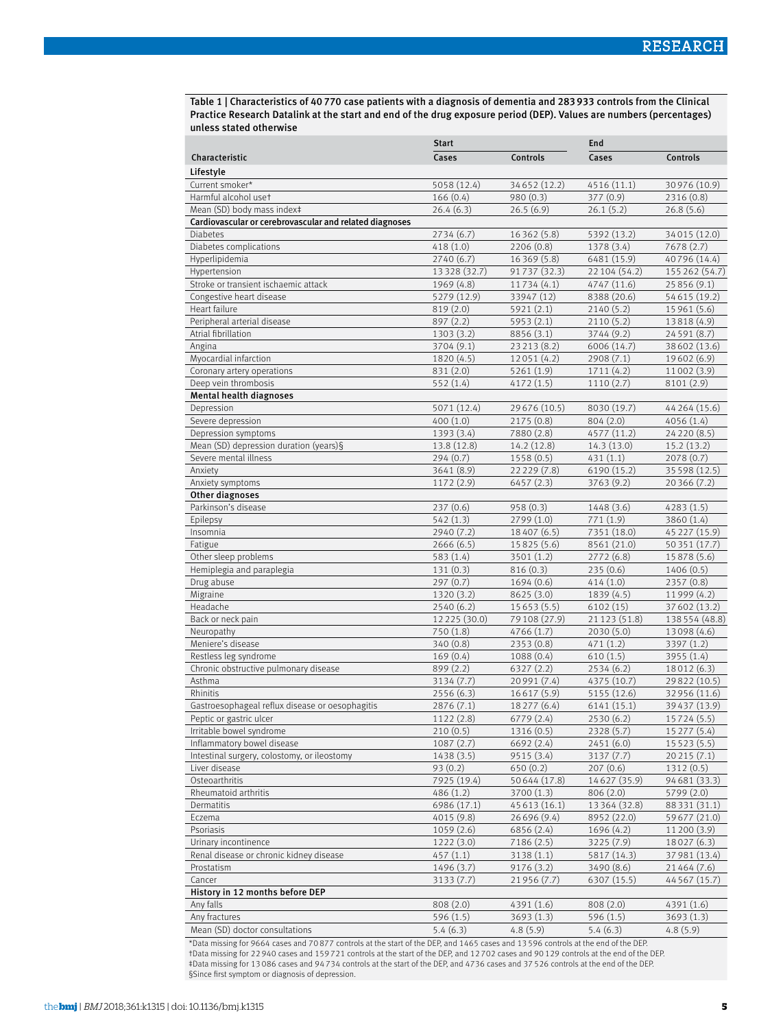Table 1 | Characteristics of 40770 case patients with a diagnosis of dementia and 283933 controls from the Clinical Practice Research Datalink at the start and end of the drug exposure period (DEP). Values are numbers (percentages) unless stated otherwise

|                                                         | <b>Start</b>             |                          | End                    |                               |  |  |
|---------------------------------------------------------|--------------------------|--------------------------|------------------------|-------------------------------|--|--|
| Characteristic                                          | Cases                    | Controls                 | Cases                  | Controls                      |  |  |
| Lifestyle                                               |                          |                          |                        |                               |  |  |
| Current smoker*                                         | 5058 (12.4)              | 34652 (12.2)             | 4516 (11.1)            | 30 976 (10.9)                 |  |  |
| Harmful alcohol uset                                    | 166(0.4)                 | 980 (0.3)                | 377(0.9)               | 2316 (0.8)                    |  |  |
| Mean (SD) body mass index‡                              | 26.4(6.3)                | 26.5(6.9)                | 26.1(5.2)              | 26.8(5.6)                     |  |  |
| Cardiovascular or cerebrovascular and related diagnoses |                          |                          |                        |                               |  |  |
| <b>Diabetes</b>                                         | 2734 (6.7)               | 16362 (5.8)              | 5392 (13.2)            | 34 0 15 (12.0)                |  |  |
| Diabetes complications                                  | 418(1.0)                 | 2206(0.8)                | 1378 (3.4)             | 7678 (2.7)                    |  |  |
| Hyperlipidemia                                          | 2740 (6.7)               | 16369 (5.8)              | 6481 (15.9)            | 40796 (14.4)                  |  |  |
| Hypertension                                            | 13 3 28 (3 2.7)          | 91737 (32.3)             | 22 104 (54.2)          | 155 262 (54.7)                |  |  |
| Stroke or transient ischaemic attack                    | 1969 (4.8)               | 11734 (4.1)              | 4747 (11.6)            | 25856(9.1)                    |  |  |
| Congestive heart disease                                | 5279 (12.9)              | 33947 (12)               | 8388 (20.6)            | 54615 (19.2)                  |  |  |
| Heart failure                                           | 819 (2.0)                | 5921 (2.1)               | 2140 (5.2)             | 15 961 (5.6)                  |  |  |
| Peripheral arterial disease                             | 897 (2.2)                | 5953(2.1)                | 2110(5.2)              | 13818 (4.9)                   |  |  |
| Atrial fibrillation                                     | 1303 (3.2)               | 8856 (3.1)               | 3744 (9.2)             | 24 5 9 1 (8.7)                |  |  |
| Angina                                                  | 3704 (9.1)               | 23 213 (8.2)             | 6006 (14.7)            | 38 602 (13.6)                 |  |  |
| Myocardial infarction                                   | 1820 (4.5)               | 12051 (4.2)              | 2908 (7.1)             | 19602 (6.9)                   |  |  |
| Coronary artery operations                              | 831 (2.0)                | 5261 (1.9)               | 1711(4.2)              | 11002 (3.9)                   |  |  |
| Deep vein thrombosis                                    | 552 (1.4)                | 4172(1.5)                | 1110(2.7)              | 8101 (2.9)                    |  |  |
| Mental health diagnoses                                 |                          |                          |                        |                               |  |  |
| Depression                                              | 5071 (12.4)              | 29 676 (10.5)            | 8030 (19.7)            | 44 264 (15.6)                 |  |  |
| Severe depression                                       | 400(1.0)                 | 2175 (0.8)               | 804(2.0)               | 4056 (1.4)                    |  |  |
| Depression symptoms                                     | 1393 (3.4)               | 7880 (2.8)               | 4577 (11.2)            | 24 2 20 (8.5)                 |  |  |
| Mean (SD) depression duration (years) §                 | 13.8 (12.8)              | 14.2 (12.8)              | 14.3(13.0)             | 15.2(13.2)                    |  |  |
| Severe mental illness                                   | 294(0.7)                 | 1558(0.5)                | 431(1.1)               | 2078 (0.7)                    |  |  |
| Anxiety                                                 | 3641 (8.9)               | 22 229 (7.8)             | 6190 (15.2)            | 35 5 98 (12.5)                |  |  |
| Anxiety symptoms                                        | 1172(2.9)                | 6457(2.3)                | 3763 (9.2)             | 20366 (7.2)                   |  |  |
| Other diagnoses                                         |                          |                          |                        |                               |  |  |
| Parkinson's disease                                     | 237(0.6)                 | 958(0.3)                 | 1448 (3.6)             | 4283(1.5)                     |  |  |
| Epilepsy                                                | 542(1.3)                 | 2799 (1.0)               | 771 (1.9)              | 3860 (1.4)                    |  |  |
| Insomnia                                                | 2940 (7.2)               | 18407 (6.5)              | 7351 (18.0)            | 45 227 (15.9)                 |  |  |
| Fatigue                                                 | 2666(6.5)                | 15 825 (5.6)             | 8561 (21.0)            | 50 351 (17.7)                 |  |  |
| Other sleep problems                                    | 583 (1.4)                | 3501 (1.2)               | 2772 (6.8)             | 15 878 (5.6)                  |  |  |
| Hemiplegia and paraplegia                               | 131(0.3)                 | 816(0.3)                 | 235(0.6)               | 1406 (0.5)                    |  |  |
| Drug abuse                                              | 297(0.7)                 | 1694 (0.6)               | 414(1.0)               | 2357 (0.8)                    |  |  |
| Migraine<br>Headache                                    | 1320 (3.2)<br>2540 (6.2) | 8625 (3.0)<br>15653(5.5) | 1839 (4.5)<br>6102(15) | 11 999 (4.2)<br>37 602 (13.2) |  |  |
| Back or neck pain                                       | 12 2 2 5 (30.0)          | 79 108 (27.9)            | 21 123 (51.8)          | 138554 (48.8)                 |  |  |
| Neuropathy                                              | 750 (1.8)                | 4766 (1.7)               | 2030(5.0)              | 13098 (4.6)                   |  |  |
| Meniere's disease                                       | 340 (0.8)                | 2353(0.8)                | 471(1.2)               | 3397 (1.2)                    |  |  |
| Restless leg syndrome                                   | 169(0.4)                 | 1088(0.4)                | 610(1.5)               | 3955 (1.4)                    |  |  |
| Chronic obstructive pulmonary disease                   | 899 (2.2)                | 6327(2.2)                | 2534(6.2)              | 18012 (6.3)                   |  |  |
| Asthma                                                  | 3134 (7.7)               | 20991 (7.4)              | 4375 (10.7)            | 29822 (10.5)                  |  |  |
| Rhinitis                                                | 2556 (6.3)               | 16617 (5.9)              | 5155 (12.6)            | 32956 (11.6)                  |  |  |
| Gastroesophageal reflux disease or oesophagitis         | 2876(7.1)                | 18 277 (6.4)             | 6141 (15.1)            | 39437 (13.9)                  |  |  |
| Peptic or gastric ulcer                                 | 1122 (2.8)               | 6779 (2.4)               | 2530 (6.2)             | 15724 (5.5)                   |  |  |
| Irritable bowel syndrome                                | 210(0.5)                 | 1316 (0.5)               | 2328 (5.7)             | 15 277 (5.4)                  |  |  |
| Inflammatory bowel disease                              | 1087(2.7)                | 6692 (2.4)               | 2451 (6.0)             | 15523 (5.5)                   |  |  |
| Intestinal surgery, colostomy, or ileostomy             | 1438 (3.5)               | 9515 (3.4)               | 3137 (7.7)             | 20215 (7.1)                   |  |  |
| Liver disease                                           | 93(0.2)                  | 650(0.2)                 | 207(0.6)               | 1312(0.5)                     |  |  |
| Osteoarthritis                                          | 7925 (19.4)              | 50644 (17.8)             | 14627 (35.9)           | 94 681 (33.3)                 |  |  |
| Rheumatoid arthritis                                    | 486(1.2)                 | 3700 (1.3)               | 806(2.0)               | 5799 (2.0)                    |  |  |
| Dermatitis                                              | 6986 (17.1)              | 45 613 (16.1)            | 13364 (32.8)           | 88 331 (31.1)                 |  |  |
| Eczema                                                  | 4015 (9.8)               | 26 696 (9.4)             | 8952 (22.0)            | 59 677 (21.0)                 |  |  |
| Psoriasis                                               | 1059(2.6)                | 6856 (2.4)               | 1696 (4.2)             | 11 200 (3.9)                  |  |  |
| Urinary incontinence                                    | 1222 (3.0)               | 7186 (2.5)               | 3225 (7.9)             | 18027 (6.3)                   |  |  |
| Renal disease or chronic kidney disease                 | 457(1.1)                 | 3138 (1.1)               | 5817 (14.3)            | 37 981 (13.4)                 |  |  |
| Prostatism                                              | 1496 (3.7)               | 9176 (3.2)               | 3490 (8.6)             | 21464 (7.6)                   |  |  |
| Cancer                                                  | 3133 (7.7)               | 21956 (7.7)              | 6307 (15.5)            | 44 5 67 (15.7)                |  |  |
| History in 12 months before DEP                         |                          |                          |                        |                               |  |  |
| Any falls                                               | 808 (2.0)                | 4391 (1.6)               | 808 (2.0)              | 4391 (1.6)                    |  |  |
| Any fractures                                           | 596 (1.5)                | 3693(1.3)                | 596 (1.5)              | 3693(1.3)                     |  |  |
| Mean (SD) doctor consultations                          | 5.4(6.3)                 | 4.8(5.9)                 | 5.4(6.3)               | 4.8(5.9)                      |  |  |

\*Data missing for 9664 cases and 70 877 controls at the start of the DEP, and 1465 cases and 13 596 controls at the end of the DEP. †Data missing for 22 940 cases and 159 721 controls at the start of the DEP, and 12 702 cases and 90 129 controls at the end of the DEP. ‡Data missing for 13 086 cases and 94 734 controls at the start of the DEP, and 4736 cases and 37 526 controls at the end of the DEP. §Since first symptom or diagnosis of depression.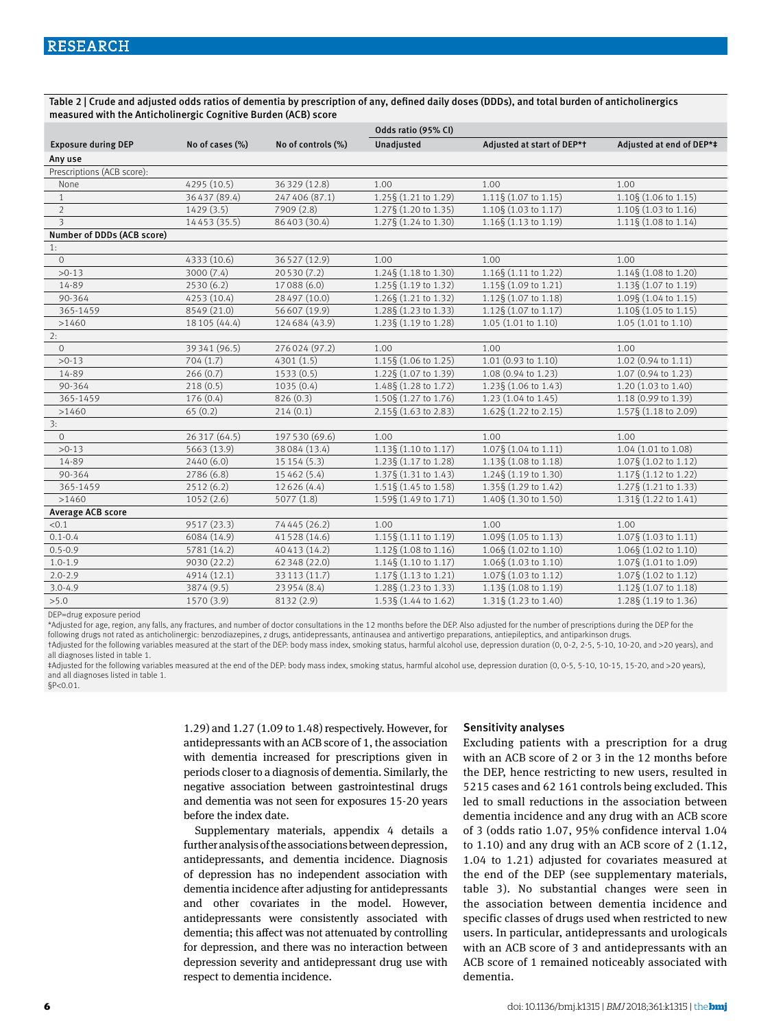| Table 2   Crude and adjusted odds ratios of dementia by prescription of any, defined daily doses (DDDs), and total burden of anticholinergics |  |
|-----------------------------------------------------------------------------------------------------------------------------------------------|--|
| measured with the Anticholinergic Cognitive Burden (ACB) score                                                                                |  |

|                            |                 |                    | Odds ratio (95% CI)               |                                 |                                   |  |
|----------------------------|-----------------|--------------------|-----------------------------------|---------------------------------|-----------------------------------|--|
| <b>Exposure during DEP</b> | No of cases (%) | No of controls (%) | Unadjusted                        | Adjusted at start of DEP*t      | Adjusted at end of DEP*#          |  |
| Any use                    |                 |                    |                                   |                                 |                                   |  |
| Prescriptions (ACB score): |                 |                    |                                   |                                 |                                   |  |
| None                       | 4295 (10.5)     | 36 329 (12.8)      | 1.00                              | 1.00                            | 1.00                              |  |
| $\mathbf{1}$               | 36437 (89.4)    | 247 406 (87.1)     | 1.25§ (1.21 to 1.29)              | 1.11§ (1.07 to 1.15)            | 1.10§ (1.06 to 1.15)              |  |
| $\overline{2}$             | 1429(3.5)       | 7909 (2.8)         | 1.27§ (1.20 to 1.35)              | $1.10\$ (1.03 to 1.17)          | 1.10§ (1.03 to 1.16)              |  |
| $\overline{3}$             | 14453 (35.5)    | 86403 (30.4)       | 1.27§ (1.24 to 1.30)              | $1.16\S(1.13 \text{ to } 1.19)$ | $1.11\$ (1.08 to 1.14)            |  |
| Number of DDDs (ACB score) |                 |                    |                                   |                                 |                                   |  |
| 1:                         |                 |                    |                                   |                                 |                                   |  |
| $\circ$                    | 4333 (10.6)     | 36527 (12.9)       | 1.00                              | 1.00                            | 1.00                              |  |
| $>0-13$                    | 3000 (7.4)      | 20530(7.2)         | 1.24§ (1.18 to 1.30)              | 1.16§ (1.11 to 1.22)            | 1.14§ (1.08 to 1.20)              |  |
| 14-89                      | 2530 (6.2)      | 17088 (6.0)        | 1.25§ (1.19 to 1.32)              | 1.15§ (1.09 to 1.21)            | 1.13§ (1.07 to 1.19)              |  |
| 90-364                     | 4253 (10.4)     | 28 497 (10.0)      | 1.26§ (1.21 to 1.32)              | 1.12§ (1.07 to 1.18)            | 1.09§ (1.04 to 1.15)              |  |
| 365-1459                   | 8549 (21.0)     | 56 607 (19.9)      | 1.28§ (1.23 to 1.33)              | 1.12§ (1.07 to 1.17)            | 1.10§ (1.05 to 1.15)              |  |
| >1460                      | 18 105 (44.4)   | 124684 (43.9)      | 1.23§ (1.19 to 1.28)              | 1.05 (1.01 to 1.10)             | 1.05 (1.01 to 1.10)               |  |
| 2:                         |                 |                    |                                   |                                 |                                   |  |
| $\circ$                    | 39 341 (96.5)   | 276024 (97.2)      | 1.00                              | 1.00                            | 1.00                              |  |
| $>0-13$                    | 704(1.7)        | 4301 (1.5)         | 1.15§ (1.06 to 1.25)              | 1.01 (0.93 to 1.10)             | 1.02 (0.94 to 1.11)               |  |
| 14-89                      | 266(0.7)        | 1533(0.5)          | 1.22§ (1.07 to 1.39)              | 1.08 (0.94 to 1.23)             | 1.07 (0.94 to 1.23)               |  |
| 90-364                     | 218(0.5)        | 1035(0.4)          | 1.48§ (1.28 to 1.72)              | 1.23§ (1.06 to 1.43)            | 1.20 (1.03 to 1.40)               |  |
| 365-1459                   | 176(0.4)        | 826(0.3)           | 1.50§ (1.27 to 1.76)              | 1.23 (1.04 to 1.45)             | 1.18 (0.99 to 1.39)               |  |
| >1460                      | 65(0.2)         | 214(0.1)           | 2.15§ (1.63 to 2.83)              | $1.62\S(1.22 \text{ to } 2.15)$ | 1.57§ (1.18 to 2.09)              |  |
| 3:                         |                 |                    |                                   |                                 |                                   |  |
| $\circ$                    | 26317 (64.5)    | 197 530 (69.6)     | 1.00                              | 1.00                            | 1.00                              |  |
| $>0-13$                    | 5663 (13.9)     | 38084 (13.4)       | 1.13§ (1.10 to 1.17)              | 1.07§ (1.04 to 1.11)            | 1.04 (1.01 to 1.08)               |  |
| 14-89                      | 2440 (6.0)      | 15154(5.3)         | 1.23§ (1.17 to 1.28)              | $1.13\S(1.08 \text{ to } 1.18)$ | 1.07§ (1.02 to 1.12)              |  |
| 90-364                     | 2786 (6.8)      | 15 462 (5.4)       | 1.37§ (1.31 to 1.43)              | 1.24§ (1.19 to 1.30)            | $1.17\$ $(1.12 \text{ to } 1.22)$ |  |
| 365-1459                   | 2512 (6.2)      | 12626 (4.4)        | $1.51\$ (1.45 to 1.58)            | 1.35§ (1.29 to 1.42)            | $1.27\$ $(1.21$ to $1.33)$        |  |
| >1460                      | 1052(2.6)       | 5077(1.8)          | 1.59§ (1.49 to 1.71)              | 1.40§ (1.30 to 1.50)            | 1.31§ (1.22 to 1.41)              |  |
| <b>Average ACB score</b>   |                 |                    |                                   |                                 |                                   |  |
| < 0.1                      | 9517 (23.3)     | 74445 (26.2)       | 1.00                              | 1.00                            | 1.00                              |  |
| $0.1 - 0.4$                | 6084 (14.9)     | 41528 (14.6)       | 1.15§ (1.11 to 1.19)              | 1.09§ (1.05 to 1.13)            | 1.07§ (1.03 to 1.11)              |  |
| $0.5 - 0.9$                | 5781 (14.2)     | 40 413 (14.2)      | 1.12§ (1.08 to 1.16)              | 1.06§ (1.02 to 1.10)            | 1.06§ (1.02 to 1.10)              |  |
| $1.0 - 1.9$                | 9030 (22.2)     | 62 348 (22.0)      | $1.14\$ $(1.10 \text{ to } 1.17)$ | $1.06\S(1.03 \text{ to } 1.10)$ | 1.07§ (1.01 to 1.09)              |  |
| $2.0 - 2.9$                | 4914 (12.1)     | 33 113 (11.7)      | $1.17\$ (1.13 to 1.21)            | $1.07\$ (1.03 to 1.12)          | 1.07§ (1.02 to 1.12)              |  |
| $3.0 - 4.9$                | 3874 (9.5)      | 23 954 (8.4)       | 1.28§ (1.23 to 1.33)              | $1.13\S(1.08 \text{ to } 1.19)$ | $1.12\$ (1.07 to 1.18)            |  |
| >5.0                       | 1570 (3.9)      | 8132 (2.9)         | 1.53§ (1.44 to 1.62)              | 1.31§ (1.23 to 1.40)            | 1.28§ (1.19 to 1.36)              |  |
|                            |                 |                    |                                   |                                 |                                   |  |

DEP=drug exposure period

\*Adjusted for age, region, any falls, any fractures, and number of doctor consultations in the 12 months before the DEP. Also adjusted for the number of prescriptions during the DEP for the following drugs not rated as anticholinergic: benzodiazepines, z drugs, antidepressants, antinausea and antivertigo preparations, antiepileptics, and antiparkinson drugs

†Adjusted for the following variables measured at the start of the DEP: body mass index, smoking status, harmful alcohol use, depression duration (0, 0-2, 2-5, 5-10, 10-20, and >20 years), and all diagnoses listed in table 1.

‡Adjusted for the following variables measured at the end of the DEP: body mass index, smoking status, harmful alcohol use, depression duration (0, 0-5, 5-10, 10-15, 15-20, and >20 years), and all diagnoses listed in table 1.

§P<0.01.

1.29) and 1.27 (1.09 to 1.48) respectively. However, for antidepressants with an ACB score of 1, the association with dementia increased for prescriptions given in periods closer to a diagnosis of dementia. Similarly, the negative association between gastrointestinal drugs and dementia was not seen for exposures 15-20 years before the index date.

Supplementary materials, appendix 4 details a further analysis of the associations between depression, antidepressants, and dementia incidence. Diagnosis of depression has no independent association with dementia incidence after adjusting for antidepressants and other covariates in the model. However, antidepressants were consistently associated with dementia; this affect was not attenuated by controlling for depression, and there was no interaction between depression severity and antidepressant drug use with respect to dementia incidence.

# Sensitivity analyses

Excluding patients with a prescription for a drug with an ACB score of 2 or 3 in the 12 months before the DEP, hence restricting to new users, resulted in 5215 cases and 62 161 controls being excluded. This led to small reductions in the association between dementia incidence and any drug with an ACB score of 3 (odds ratio 1.07, 95% confidence interval 1.04 to 1.10) and any drug with an ACB score of 2 (1.12, 1.04 to 1.21) adjusted for covariates measured at the end of the DEP (see supplementary materials, table 3). No substantial changes were seen in the association between dementia incidence and specific classes of drugs used when restricted to new users. In particular, antidepressants and urologicals with an ACB score of 3 and antidepressants with an ACB score of 1 remained noticeably associated with dementia.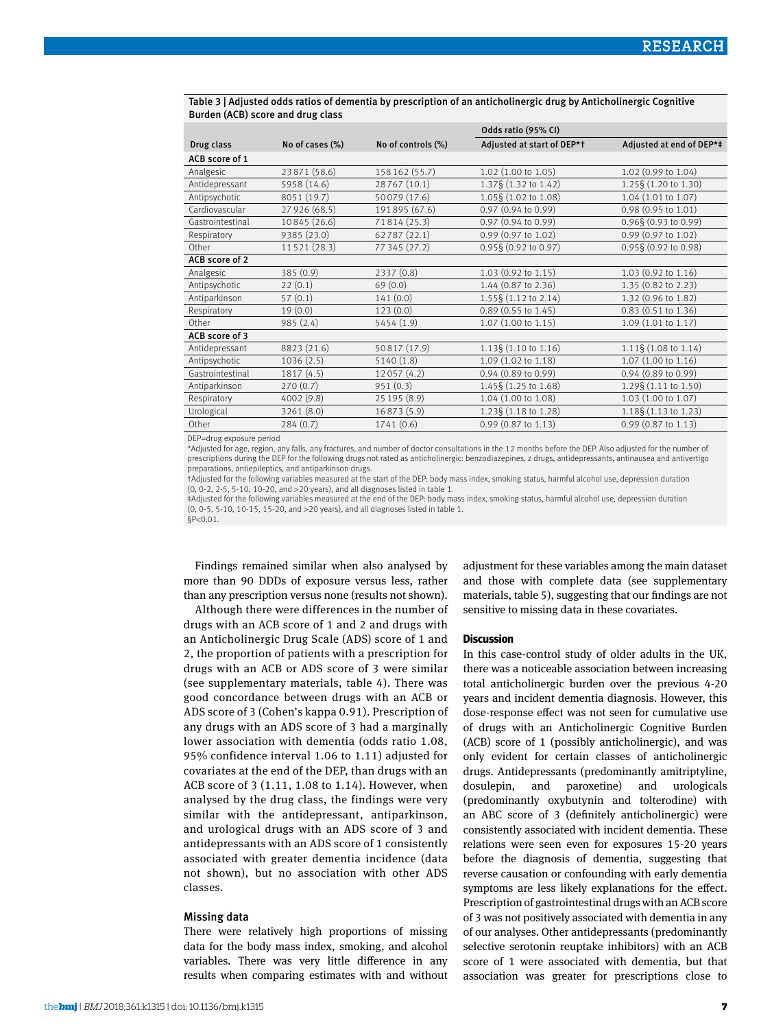|                          |                 |                    | Odds ratio (95% CI)               |                               |  |  |
|--------------------------|-----------------|--------------------|-----------------------------------|-------------------------------|--|--|
| Drug class               | No of cases (%) | No of controls (%) | Adjusted at start of DEP*1        | Adjusted at end of DEP*#      |  |  |
| ACB score of 1           |                 |                    |                                   |                               |  |  |
| Analgesic                | 23871 (58.6)    | 158 162 (55.7)     | 1.02 (1.00 to 1.05)               | 1.02 (0.99 to 1.04)           |  |  |
| Antidepressant           | 5958 (14.6)     | 28767 (10.1)       | 1.37§ (1.32 to 1.42)              | 1.25§ (1.20 to 1.30)          |  |  |
| Antipsychotic            | 8051 (19.7)     | 50079 (17.6)       | 1.05§ (1.02 to 1.08)              | 1.04 (1.01 to 1.07)           |  |  |
| Cardiovascular           | 27 926 (68.5)   | 191895 (67.6)      | $0.97$ $(0.94$ to $0.99)$         | $0.98(0.95 \text{ to } 1.01)$ |  |  |
| Gastrointestinal         | 10845 (26.6)    | 71814 (25.3)       | 0.97 (0.94 to 0.99)               | 0.96§ (0.93 to 0.99)          |  |  |
| Respiratory              | 9385 (23.0)     | 62787 (22.1)       | 0.99 (0.97 to 1.02)               | 0.99 (0.97 to 1.02)           |  |  |
| Other                    | 11521 (28.3)    | 77 345 (27.2)      | 0.95§ (0.92 to 0.97)              | 0.95§ (0.92 to 0.98)          |  |  |
| ACB score of 2           |                 |                    |                                   |                               |  |  |
| Analgesic                | 385(0.9)        | 2337 (0.8)         | 1.03 (0.92 to 1.15)               | 1.03 (0.92 to 1.16)           |  |  |
| Antipsychotic            | 22(0.1)         | 69(0.0)            | 1.44 (0.87 to 2.36)               | 1.35 (0.82 to 2.23)           |  |  |
| Antiparkinson            | 57(0.1)         | 141(0.0)           | $1.55\$ $(1.12 \text{ to } 2.14)$ | 1.32 (0.96 to 1.82)           |  |  |
| Respiratory              | 19(0.0)         | 123(0.0)           | $0.89$ (0.55 to 1.45)             | 0.83 (0.51 to 1.36)           |  |  |
| Other                    | 985(2.4)        | 5454 (1.9)         | 1.07 (1.00 to 1.15)               | 1.09(1.01 to 1.17)            |  |  |
| ACB score of 3           |                 |                    |                                   |                               |  |  |
| Antidepressant           | 8823 (21.6)     | 50817 (17.9)       | 1.13§ (1.10 to 1.16)              | 1.11§ (1.08 to 1.14)          |  |  |
| Antipsychotic            | 1036 (2.5)      | 5140 (1.8)         | 1.09 (1.02 to 1.18)               | 1.07 (1.00 to 1.16)           |  |  |
| Gastrointestinal         | 1817 (4.5)      | 12057 (4.2)        | 0.94 (0.89 to 0.99)               | 0.94 (0.89 to 0.99)           |  |  |
| Antiparkinson            | 270(0.7)        | 951(0.3)           | 1.45§ (1.25 to 1.68)              | 1.29§ (1.11 to 1.50)          |  |  |
| Respiratory              | 4002 (9.8)      | 25 195 (8.9)       | 1.04 (1.00 to 1.08)               | 1.03 (1.00 to 1.07)           |  |  |
| Urological               | 3261 (8.0)      | 16873 (5.9)        | 1.23§ (1.18 to 1.28)              | 1.18§ (1.13 to 1.23)          |  |  |
| Other                    | 284(0.7)        | 1741 (0.6)         | 0.99 (0.87 to 1.13)               | 0.99 (0.87 to 1.13)           |  |  |
| DEP=drug exposure period |                 |                    |                                   |                               |  |  |

#### Table 3 | Adjusted odds ratios of dementia by prescription of an anticholinergic drug by Anticholinergic Cognitive Burden (ACB) score and drug class

DEP=drug exposure period

\*Adjusted for age, region, any falls, any fractures, and number of doctor consultations in the 12 months before the DEP. Also adjusted for the number of prescriptions during the DEP for the following drugs not rated as anticholinergic: benzodiazepines, z drugs, antidepressants, antinausea and antivertigo preparations, antiepileptics, and antiparkinson drugs.

†Adjusted for the following variables measured at the start of the DEP: body mass index, smoking status, harmful alcohol use, depression duration (0, 0-2, 2-5, 5-10, 10-20, and >20 years), and all diagnoses listed in table 1.

‡Adjusted for the following variables measured at the end of the DEP: body mass index, smoking status, harmful alcohol use, depression duration (0, 0-5, 5-10, 10-15, 15-20, and >20 years), and all diagnoses listed in table 1.

§P<0.01.

Findings remained similar when also analysed by more than 90 DDDs of exposure versus less, rather than any prescription versus none (results not shown).

Although there were differences in the number of drugs with an ACB score of 1 and 2 and drugs with an Anticholinergic Drug Scale (ADS) score of 1 and 2, the proportion of patients with a prescription for drugs with an ACB or ADS score of 3 were similar (see supplementary materials, table 4). There was good concordance between drugs with an ACB or ADS score of 3 (Cohen's kappa 0.91). Prescription of any drugs with an ADS score of 3 had a marginally lower association with dementia (odds ratio 1.08, 95% confidence interval 1.06 to 1.11) adjusted for covariates at the end of the DEP, than drugs with an ACB score of 3 (1.11, 1.08 to 1.14). However, when analysed by the drug class, the findings were very similar with the antidepressant, antiparkinson, and urological drugs with an ADS score of 3 and antidepressants with an ADS score of 1 consistently associated with greater dementia incidence (data not shown), but no association with other ADS classes.

## Missing data

There were relatively high proportions of missing data for the body mass index, smoking, and alcohol variables. There was very little difference in any results when comparing estimates with and without

adjustment for these variables among the main dataset and those with complete data (see supplementary materials, table 5), suggesting that our findings are not sensitive to missing data in these covariates.

#### **Discussion**

In this case-control study of older adults in the UK, there was a noticeable association between increasing total anticholinergic burden over the previous 4-20 years and incident dementia diagnosis. However, this dose-response effect was not seen for cumulative use of drugs with an Anticholinergic Cognitive Burden (ACB) score of 1 (possibly anticholinergic), and was only evident for certain classes of anticholinergic drugs. Antidepressants (predominantly amitriptyline, dosulepin, and paroxetine) and urologicals (predominantly oxybutynin and tolterodine) with an ABC score of 3 (definitely anticholinergic) were consistently associated with incident dementia. These relations were seen even for exposures 15-20 years before the diagnosis of dementia, suggesting that reverse causation or confounding with early dementia symptoms are less likely explanations for the effect. Prescription of gastrointestinal drugs with an ACB score of 3 was not positively associated with dementia in any of our analyses. Other antidepressants (predominantly selective serotonin reuptake inhibitors) with an ACB score of 1 were associated with dementia, but that association was greater for prescriptions close to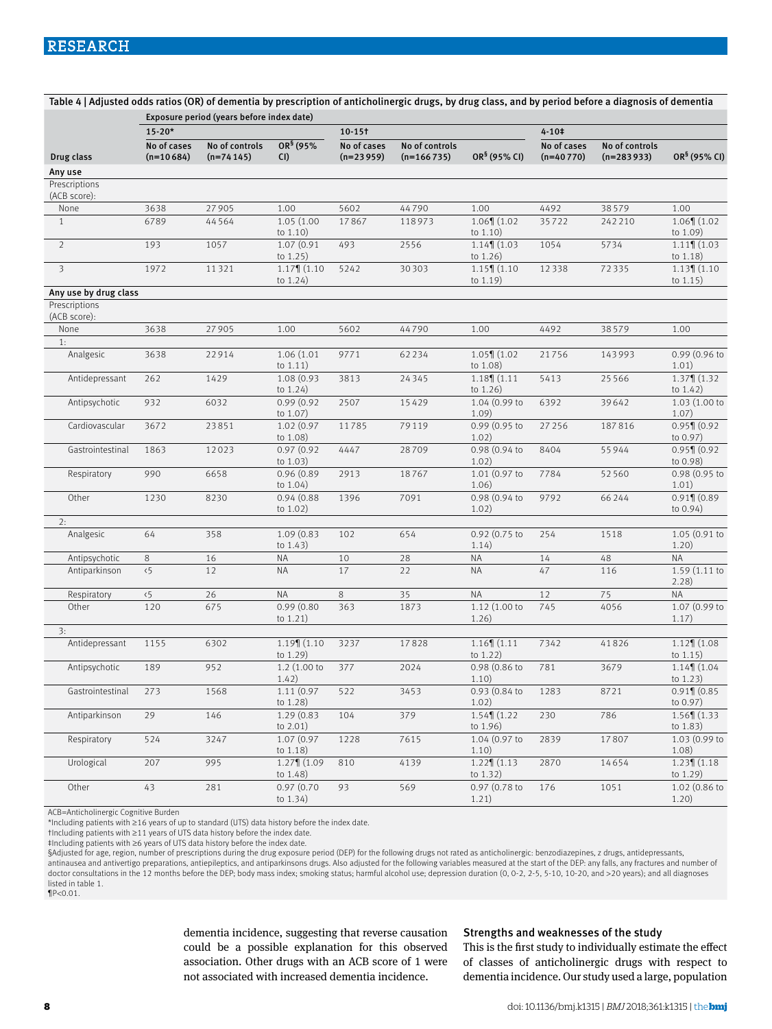| Table 4   Adjusted odds ratios (OR) of dementia by prescription of anticholinergic drugs, by drug class, and by period before a diagnosis of dementia |                                           |                               |                                 |                            |                                |                              |                            |                                |                                  |
|-------------------------------------------------------------------------------------------------------------------------------------------------------|-------------------------------------------|-------------------------------|---------------------------------|----------------------------|--------------------------------|------------------------------|----------------------------|--------------------------------|----------------------------------|
|                                                                                                                                                       | Exposure period (years before index date) |                               |                                 |                            |                                |                              |                            |                                |                                  |
|                                                                                                                                                       | $15 - 20*$                                |                               | $10 - 151$                      |                            |                                | $4 - 10+$                    |                            |                                |                                  |
| Drug class                                                                                                                                            | No of cases<br>$(n=10684)$                | No of controls<br>$(n=74145)$ | OR <sup>§</sup> (95%<br>CI)     | No of cases<br>$(n=23959)$ | No of controls<br>$(n=166735)$ | OR <sup>§</sup> (95% CI)     | No of cases<br>$(n=40770)$ | No of controls<br>$(n=283933)$ | OR <sup>§</sup> (95% CI)         |
| Any use                                                                                                                                               |                                           |                               |                                 |                            |                                |                              |                            |                                |                                  |
| Prescriptions<br>(ACB score):                                                                                                                         |                                           |                               |                                 |                            |                                |                              |                            |                                |                                  |
| None                                                                                                                                                  | 3638                                      | 27905                         | 1.00                            | 5602                       | 44790                          | 1.00                         | 4492                       | 38579                          | 1.00                             |
| $\mathbf{1}$                                                                                                                                          | 6789                                      | 44564                         | 1.05 (1.00<br>to $1.10)$        | 17867                      | 118973                         | $1.06$ (1.02)<br>to $1.10$ ) | 35722                      | 242210                         | $1.06$ (1.02)<br>to 1.09)        |
| $\overline{2}$                                                                                                                                        | 193                                       | 1057                          | 1.07 (0.91<br>to $1.25$ )       | 493                        | 2556                           | $1.14$ (1.03<br>to $1.26$ )  | 1054                       | 5734                           | $1.11$   $(1.03)$<br>to $1.18$ ) |
| $\overline{\mathbf{3}}$                                                                                                                               | 1972                                      | 11321                         | $1.17$   $(1.10$<br>to $1.24$ ) | 5242                       | 30303                          | $1.15$ (1.10)<br>to $1.19$ ) | 12338                      | 72335                          | $1.13$ (1.10)<br>to $1.15)$      |
| Any use by drug class                                                                                                                                 |                                           |                               |                                 |                            |                                |                              |                            |                                |                                  |
| Prescriptions<br>(ACB score):                                                                                                                         |                                           |                               |                                 |                            |                                |                              |                            |                                |                                  |
| None                                                                                                                                                  | 3638                                      | 27905                         | 1.00                            | 5602                       | 44790                          | 1.00                         | 4492                       | 38579                          | 1.00                             |
| 1:<br>Analgesic                                                                                                                                       | 3638                                      | 22914                         | 1.06 (1.01<br>to $1.11)$        | 9771                       | 62234                          | $1.05$ (1.02<br>to 1.08)     | 21756                      | 143993                         | 0.99 (0.96 to<br>1.01)           |
| Antidepressant                                                                                                                                        | 262                                       | 1429                          | 1.08 (0.93<br>to $1.24$ )       | 3813                       | 24345                          | $1.18$ (1.11)<br>to $1.26$ ) | 5413                       | 25566                          | $1.37$ (1.32)<br>to $1.42$ )     |
| Antipsychotic                                                                                                                                         | 932                                       | 6032                          | 0.99(0.92)<br>to 1.07)          | 2507                       | 15429                          | 1.04 (0.99 to<br>1.09)       | 6392                       | 39642                          | 1.03 (1.00 to<br>1.07)           |
| Cardiovascular                                                                                                                                        | 3672                                      | 23851                         | 1.02(0.97)<br>to 1.08)          | 11785                      | 79119                          | 0.99 (0.95 to<br>1.02)       | 27 2 5 6                   | 187816                         | $0.95$ (0.92<br>to 0.97)         |
| Gastrointestinal                                                                                                                                      | 1863                                      | 12023                         | 0.97(0.92)<br>to $1.03$ )       | 4447                       | 28709                          | 0.98 (0.94 to<br>1.02)       | 8404                       | 55944                          | $0.95$ $(0.92)$<br>to 0.98)      |
| Respiratory                                                                                                                                           | 990                                       | 6658                          | 0.96 (0.89<br>to $1.04)$        | 2913                       | 18767                          | 1.01 (0.97 to<br>1.06)       | 7784                       | 52560                          | 0.98 (0.95 to<br>1.01)           |
| Other                                                                                                                                                 | 1230                                      | 8230                          | 0.94(0.88)<br>to 1.02)          | 1396                       | 7091                           | 0.98 (0.94 to<br>1.02)       | 9792                       | 66244                          | $0.91$ $(0.89)$<br>to $0.94)$    |
| 2:                                                                                                                                                    |                                           |                               |                                 |                            |                                |                              |                            |                                |                                  |
| Analgesic                                                                                                                                             | 64                                        | 358                           | 1.09(0.83)<br>to 1.43)          | 102                        | 654                            | $0.92$ (0.75 to<br>1.14)     | 254                        | 1518                           | 1.05(0.91)<br>1.20)              |
| Antipsychotic                                                                                                                                         | 8                                         | 16                            | ΝA                              | 10                         | 28                             | <b>NA</b>                    | 14                         | 48                             | <b>NA</b>                        |
| Antiparkinson                                                                                                                                         | $\langle 5$                               | 12                            | ΝA                              | 17                         | 22                             | <b>NA</b>                    | 47                         | 116                            | 1.59 (1.11 to<br>(2.28)          |
| Respiratory                                                                                                                                           | $\langle 5$                               | 26                            | <b>NA</b>                       | 8                          | 35                             | <b>NA</b>                    | 12                         | 75                             | <b>NA</b>                        |
| Other                                                                                                                                                 | 120                                       | 675                           | 0.99(0.80)<br>to $1.21$ )       | 363                        | 1873                           | 1.12(1.00 to<br>1.26)        | 745                        | 4056                           | 1.07 (0.99 to<br>1.17)           |
| 3:<br>Antidepressant                                                                                                                                  | 1155                                      | 6302                          | $1.19$ $(1.10)$                 | 3237                       | 17828                          | $1.16$   $(1.11)$            | 7342                       | 41826                          | $1.12$   $(1.08$                 |
| Antipsychotic                                                                                                                                         | 189                                       | 952                           | to $1.29$ )<br>1.2 (1.00 to     | 377                        | 2024                           | to $1.22$ )<br>0.98 (0.86 to | 781                        | 3679                           | to 1.15)<br>$1.14$ (1.04)        |
|                                                                                                                                                       |                                           |                               | 1.42)                           |                            |                                | 1.10)                        |                            |                                | to 1.23)                         |
| Gastrointestinal                                                                                                                                      | 273                                       | 1568                          | 1.11(0.97)<br>to 1.28)          | 522                        | 3453                           | 0.93 (0.84 to<br>1.02)       | 1283                       | 8721                           | $0.91$ (0.85)<br>to 0.97)        |
| Antiparkinson                                                                                                                                         | 29                                        | 146                           | 1.29 (0.83)<br>to $2.01$ )      | 104                        | 379                            | $1.54$ (1.22)<br>to $1.96$ ) | 230                        | 786                            | $1.56$ (1.33)<br>to $1.83$ )     |
| Respiratory                                                                                                                                           | 524                                       | 3247                          | 1.07(0.97)<br>to $1.18$ )       | 1228                       | 7615                           | 1.04 (0.97 to<br>1.10)       | 2839                       | 17807                          | 1.03 (0.99 to<br>1.08)           |
| Urological                                                                                                                                            | 207                                       | 995                           | 1.271 (1.09<br>to $1.48$ )      | 810                        | 4139                           | $1.22$ (1.13)<br>to $1.32$ ) | 2870                       | 14654                          | $1.23$ (1.18)<br>to $1.29$       |
| Other                                                                                                                                                 | 43                                        | 281                           | 0.97(0.70)<br>to $1.34)$        | 93                         | 569                            | 0.97 (0.78 to<br>1.21)       | 176                        | 1051                           | $1.02$ (0.86 to<br>1.20)         |

ACB=Anticholinergic Cognitive Burden

\*Including patients with ≥16 years of up to standard (UTS) data history before the index date.

†Including patients with ≥11 years of UTS data history before the index date. ‡Including patients with ≥6 years of UTS data history before the index date.

§Adjusted for age, region, number of prescriptions during the drug exposure period (DEP) for the following drugs not rated as anticholinergic: benzodiazepines, z drugs, antidepressants,

antinausea and antivertigo preparations, antiepileptics, and antiparkinsons drugs. Also adjusted for the following variables measured at the start of the DEP: any falls, any fractures and number of doctor consultations in the 12 months before the DEP; body mass index; smoking status; harmful alcohol use; depression duration (0, 0-2, 2-5, 5-10, 10-20, and >20 years); and all diagnoses listed in table 1.

¶P<0.01.

dementia incidence, suggesting that reverse causation could be a possible explanation for this observed association. Other drugs with an ACB score of 1 were not associated with increased dementia incidence.

# Strengths and weaknesses of the study

This is the first study to individually estimate the effect of classes of anticholinergic drugs with respect to dementia incidence. Our study used a large, population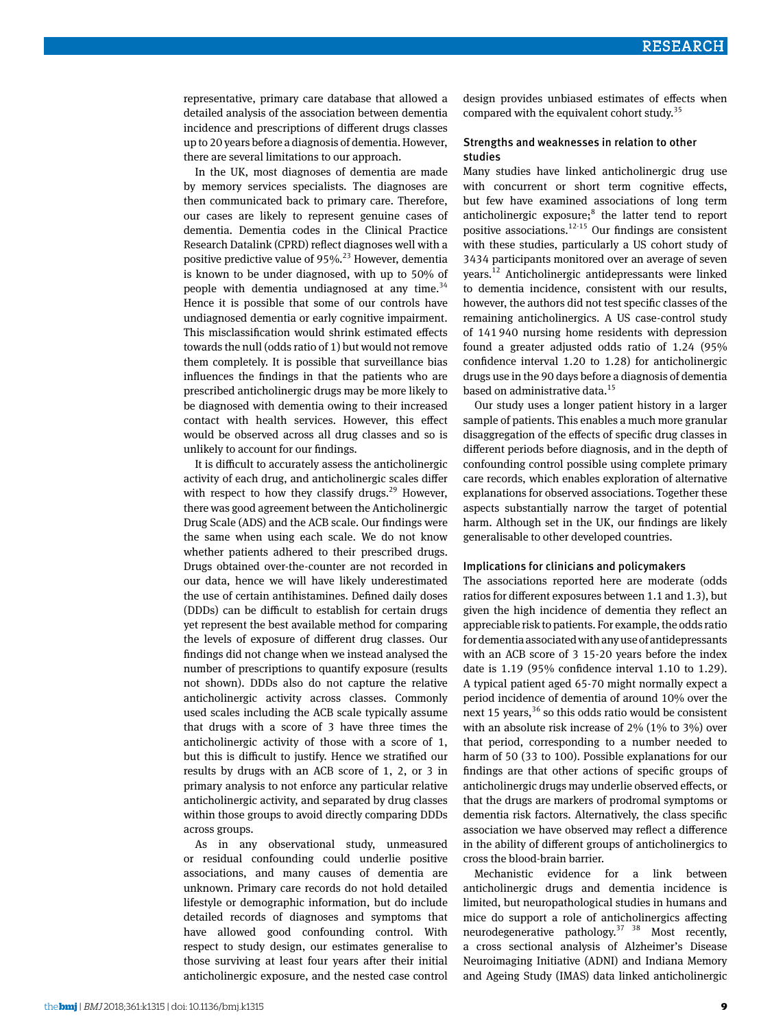representative, primary care database that allowed a detailed analysis of the association between dementia incidence and prescriptions of different drugs classes up to 20 years before a diagnosis of dementia. However, there are several limitations to our approach.

In the UK, most diagnoses of dementia are made by memory services specialists. The diagnoses are then communicated back to primary care. Therefore, our cases are likely to represent genuine cases of dementia. Dementia codes in the Clinical Practice Research Datalink (CPRD) reflect diagnoses well with a positive predictive value of  $95\%$ <sup>23</sup> However, dementia is known to be under diagnosed, with up to 50% of people with dementia undiagnosed at any time.<sup>34</sup> Hence it is possible that some of our controls have undiagnosed dementia or early cognitive impairment. This misclassification would shrink estimated effects towards the null (odds ratio of 1) but would not remove them completely. It is possible that surveillance bias influences the findings in that the patients who are prescribed anticholinergic drugs may be more likely to be diagnosed with dementia owing to their increased contact with health services. However, this effect would be observed across all drug classes and so is unlikely to account for our findings.

It is difficult to accurately assess the anticholinergic activity of each drug, and anticholinergic scales differ with respect to how they classify drugs.<sup>29</sup> However, there was good agreement between the Anticholinergic Drug Scale (ADS) and the ACB scale. Our findings were the same when using each scale. We do not know whether patients adhered to their prescribed drugs. Drugs obtained over-the-counter are not recorded in our data, hence we will have likely underestimated the use of certain antihistamines. Defined daily doses (DDDs) can be difficult to establish for certain drugs yet represent the best available method for comparing the levels of exposure of different drug classes. Our findings did not change when we instead analysed the number of prescriptions to quantify exposure (results not shown). DDDs also do not capture the relative anticholinergic activity across classes. Commonly used scales including the ACB scale typically assume that drugs with a score of 3 have three times the anticholinergic activity of those with a score of 1, but this is difficult to justify. Hence we stratified our results by drugs with an ACB score of 1, 2, or 3 in primary analysis to not enforce any particular relative anticholinergic activity, and separated by drug classes within those groups to avoid directly comparing DDDs across groups.

As in any observational study, unmeasured or residual confounding could underlie positive associations, and many causes of dementia are unknown. Primary care records do not hold detailed lifestyle or demographic information, but do include detailed records of diagnoses and symptoms that have allowed good confounding control. With respect to study design, our estimates generalise to those surviving at least four years after their initial anticholinergic exposure, and the nested case control design provides unbiased estimates of effects when compared with the equivalent cohort study.<sup>35</sup>

# Strengths and weaknesses in relation to other studies

Many studies have linked anticholinergic drug use with concurrent or short term cognitive effects, but few have examined associations of long term anticholinergic exposure;<sup>8</sup> the latter tend to report positive associations.<sup>12-15</sup> Our findings are consistent with these studies, particularly a US cohort study of 3434 participants monitored over an average of seven years.12 Anticholinergic antidepressants were linked to dementia incidence, consistent with our results, however, the authors did not test specific classes of the remaining anticholinergics. A US case-control study of 141 940 nursing home residents with depression found a greater adjusted odds ratio of 1.24 (95% confidence interval 1.20 to 1.28) for anticholinergic drugs use in the 90 days before a diagnosis of dementia based on administrative data.<sup>15</sup>

Our study uses a longer patient history in a larger sample of patients. This enables a much more granular disaggregation of the effects of specific drug classes in different periods before diagnosis, and in the depth of confounding control possible using complete primary care records, which enables exploration of alternative explanations for observed associations. Together these aspects substantially narrow the target of potential harm. Although set in the UK, our findings are likely generalisable to other developed countries.

#### Implications for clinicians and policymakers

The associations reported here are moderate (odds ratios for different exposures between 1.1 and 1.3), but given the high incidence of dementia they reflect an appreciable risk to patients. For example, the odds ratio for dementia associated with any use of antidepressants with an ACB score of 3 15-20 years before the index date is 1.19 (95% confidence interval 1.10 to 1.29). A typical patient aged 65-70 might normally expect a period incidence of dementia of around 10% over the next 15 years,  $36$  so this odds ratio would be consistent with an absolute risk increase of 2% (1% to 3%) over that period, corresponding to a number needed to harm of 50 (33 to 100). Possible explanations for our findings are that other actions of specific groups of anticholinergic drugs may underlie observed effects, or that the drugs are markers of prodromal symptoms or dementia risk factors. Alternatively, the class specific association we have observed may reflect a difference in the ability of different groups of anticholinergics to cross the blood-brain barrier.

Mechanistic evidence for a link between anticholinergic drugs and dementia incidence is limited, but neuropathological studies in humans and mice do support a role of anticholinergics affecting neurodegenerative pathology.37 38 Most recently, a cross sectional analysis of Alzheimer's Disease Neuroimaging Initiative (ADNI) and Indiana Memory and Ageing Study (IMAS) data linked anticholinergic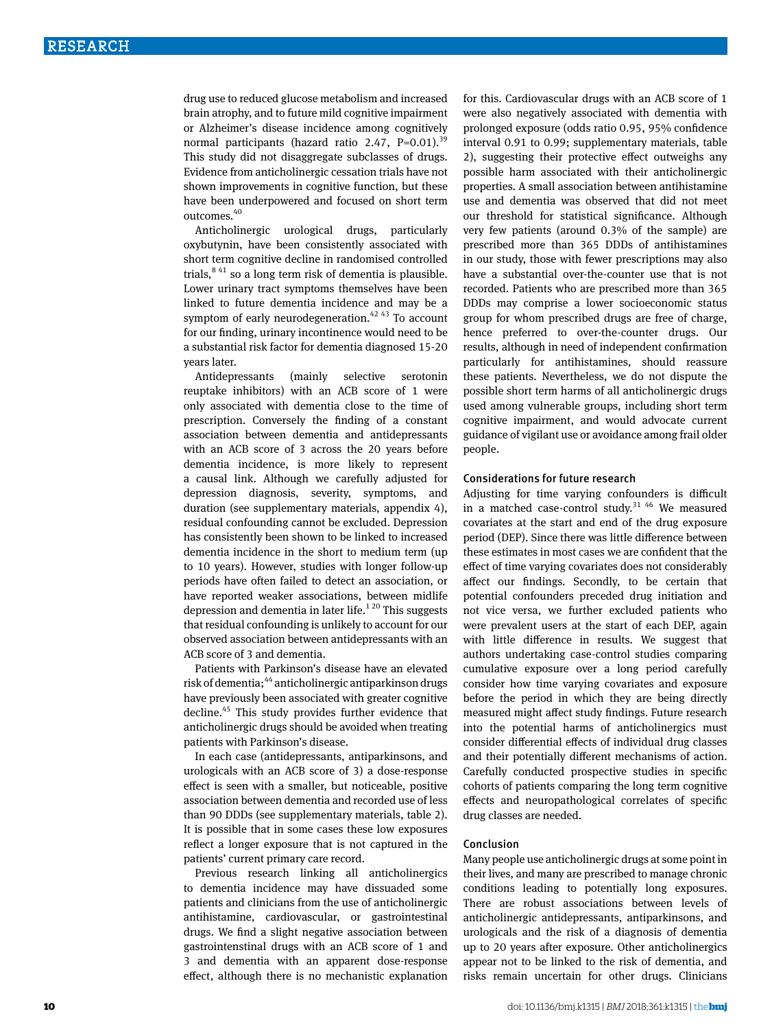drug use to reduced glucose metabolism and increased brain atrophy, and to future mild cognitive impairment or Alzheimer's disease incidence among cognitively normal participants (hazard ratio 2.47,  $P=0.01$ ).<sup>39</sup> This study did not disaggregate subclasses of drugs. Evidence from anticholinergic cessation trials have not shown improvements in cognitive function, but these have been underpowered and focused on short term outcomes.40

Anticholinergic urological drugs, particularly oxybutynin, have been consistently associated with short term cognitive decline in randomised controlled trials, $8^{41}$  so a long term risk of dementia is plausible. Lower urinary tract symptoms themselves have been linked to future dementia incidence and may be a symptom of early neurodegeneration.<sup>42 43</sup> To account for our finding, urinary incontinence would need to be a substantial risk factor for dementia diagnosed 15-20 years later.

Antidepressants (mainly selective serotonin reuptake inhibitors) with an ACB score of 1 were only associated with dementia close to the time of prescription. Conversely the finding of a constant association between dementia and antidepressants with an ACB score of 3 across the 20 years before dementia incidence, is more likely to represent a causal link. Although we carefully adjusted for depression diagnosis, severity, symptoms, and duration (see supplementary materials, appendix 4), residual confounding cannot be excluded. Depression has consistently been shown to be linked to increased dementia incidence in the short to medium term (up to 10 years). However, studies with longer follow-up periods have often failed to detect an association, or have reported weaker associations, between midlife depression and dementia in later life.<sup>1 20</sup> This suggests that residual confounding is unlikely to account for our observed association between antidepressants with an ACB score of 3 and dementia.

Patients with Parkinson's disease have an elevated risk of dementia;<sup>44</sup> anticholinergic antiparkinson drugs have previously been associated with greater cognitive decline.45 This study provides further evidence that anticholinergic drugs should be avoided when treating patients with Parkinson's disease.

In each case (antidepressants, antiparkinsons, and urologicals with an ACB score of 3) a dose-response effect is seen with a smaller, but noticeable, positive association between dementia and recorded use of less than 90 DDDs (see supplementary materials, table 2). It is possible that in some cases these low exposures reflect a longer exposure that is not captured in the patients' current primary care record.

Previous research linking all anticholinergics to dementia incidence may have dissuaded some patients and clinicians from the use of anticholinergic antihistamine, cardiovascular, or gastrointestinal drugs. We find a slight negative association between gastrointenstinal drugs with an ACB score of 1 and 3 and dementia with an apparent dose-response effect, although there is no mechanistic explanation

for this. Cardiovascular drugs with an ACB score of 1 were also negatively associated with dementia with prolonged exposure (odds ratio 0.95, 95% confidence interval 0.91 to 0.99; supplementary materials, table 2), suggesting their protective effect outweighs any possible harm associated with their anticholinergic properties. A small association between antihistamine use and dementia was observed that did not meet our threshold for statistical significance. Although very few patients (around 0.3% of the sample) are prescribed more than 365 DDDs of antihistamines in our study, those with fewer prescriptions may also have a substantial over-the-counter use that is not recorded. Patients who are prescribed more than 365 DDDs may comprise a lower socioeconomic status group for whom prescribed drugs are free of charge, hence preferred to over-the-counter drugs. Our results, although in need of independent confirmation particularly for antihistamines, should reassure these patients. Nevertheless, we do not dispute the possible short term harms of all anticholinergic drugs used among vulnerable groups, including short term cognitive impairment, and would advocate current guidance of vigilant use or avoidance among frail older people.

#### Considerations for future research

Adjusting for time varying confounders is difficult in a matched case-control study.<sup>31 46</sup> We measured covariates at the start and end of the drug exposure period (DEP). Since there was little difference between these estimates in most cases we are confident that the effect of time varying covariates does not considerably affect our findings. Secondly, to be certain that potential confounders preceded drug initiation and not vice versa, we further excluded patients who were prevalent users at the start of each DEP, again with little difference in results. We suggest that authors undertaking case-control studies comparing cumulative exposure over a long period carefully consider how time varying covariates and exposure before the period in which they are being directly measured might affect study findings. Future research into the potential harms of anticholinergics must consider differential effects of individual drug classes and their potentially different mechanisms of action. Carefully conducted prospective studies in specific cohorts of patients comparing the long term cognitive effects and neuropathological correlates of specific drug classes are needed.

# Conclusion

Many people use anticholinergic drugs at some point in their lives, and many are prescribed to manage chronic conditions leading to potentially long exposures. There are robust associations between levels of anticholinergic antidepressants, antiparkinsons, and urologicals and the risk of a diagnosis of dementia up to 20 years after exposure. Other anticholinergics appear not to be linked to the risk of dementia, and risks remain uncertain for other drugs. Clinicians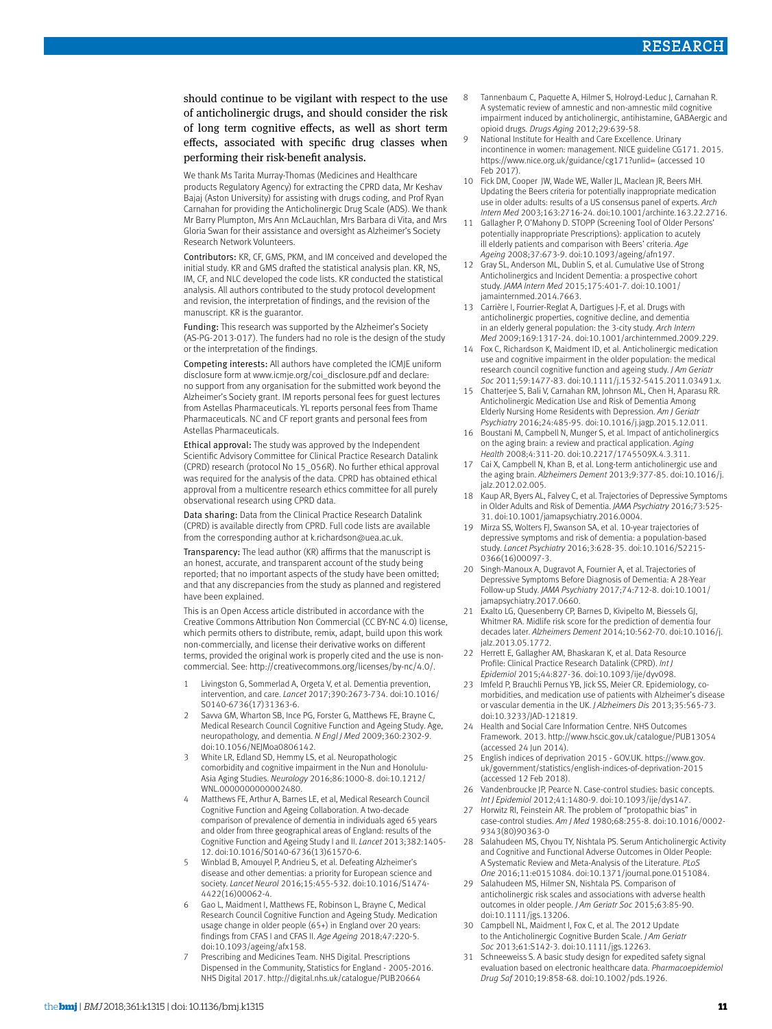should continue to be vigilant with respect to the use of anticholinergic drugs, and should consider the risk of long term cognitive effects, as well as short term effects, associated with specific drug classes when performing their risk-benefit analysis.

We thank Ms Tarita Murray-Thomas (Medicines and Healthcare products Regulatory Agency) for extracting the CPRD data, Mr Keshav Bajaj (Aston University) for assisting with drugs coding, and Prof Ryan Carnahan for providing the Anticholinergic Drug Scale (ADS). We thank Mr Barry Plumpton, Mrs Ann McLauchlan, Mrs Barbara di Vita, and Mrs Gloria Swan for their assistance and oversight as Alzheimer's Society Research Network Volunteers.

Contributors: KR, CF, GMS, PKM, and IM conceived and developed the initial study. KR and GMS drafted the statistical analysis plan. KR, NS, IM, CF, and NLC developed the code lists. KR conducted the statistical analysis. All authors contributed to the study protocol development and revision, the interpretation of findings, and the revision of the manuscript. KR is the guarantor.

Funding: This research was supported by the Alzheimer's Society (AS-PG-2013-017). The funders had no role is the design of the study or the interpretation of the findings.

Competing interests: All authors have completed the ICMJE uniform disclosure form at [www.icmje.org/coi\\_disclosure.pdf](http://www.icmje.org/coi_disclosure.pdf) and declare: no support from any organisation for the submitted work beyond the Alzheimer's Society grant. IM reports personal fees for guest lectures from Astellas Pharmaceuticals. YL reports personal fees from Thame Pharmaceuticals. NC and CF report grants and personal fees from Astellas Pharmaceuticals.

Ethical approval: The study was approved by the Independent Scientific Advisory Committee for Clinical Practice Research Datalink (CPRD) research (protocol No 15\_056R). No further ethical approval was required for the analysis of the data. CPRD has obtained ethical approval from a multicentre research ethics committee for all purely observational research using CPRD data.

Data sharing: Data from the Clinical Practice Research Datalink (CPRD) is available directly from CPRD. Full code lists are available from the corresponding author at k.richardson@uea.ac.uk.

Transparency: The lead author (KR) affirms that the manuscript is an honest, accurate, and transparent account of the study being reported; that no important aspects of the study have been omitted; and that any discrepancies from the study as planned and registered have been explained.

This is an Open Access article distributed in accordance with the Creative Commons Attribution Non Commercial (CC BY-NC 4.0) license, which permits others to distribute, remix, adapt, build upon this work non-commercially, and license their derivative works on different terms, provided the original work is properly cited and the use is noncommercial. See: [http://creativecommons.org/licenses/by-nc/4.0/.](http://creativecommons.org/licenses/by-nc/4.0/)

- 1 Livingston G, Sommerlad A, Orgeta V, et al. Dementia prevention, intervention, and care. *Lancet* 2017;390:2673-734. doi:10.1016/ S0140-6736(17)31363-6.
- 2 Savva GM, Wharton SB, Ince PG, Forster G, Matthews FE, Brayne C, Medical Research Council Cognitive Function and Ageing Study. Age, neuropathology, and dementia. *N Engl J Med* 2009;360:2302-9. doi:10.1056/NEJMoa0806142.
- White LR, Edland SD, Hemmy LS, et al. Neuropathologic comorbidity and cognitive impairment in the Nun and Honolulu-Asia Aging Studies. *Neurology* 2016;86:1000-8. doi:10.1212/ WNL.0000000000002480.
- 4 Matthews FE, Arthur A, Barnes LE, et al, Medical Research Council Cognitive Function and Ageing Collaboration. A two-decade comparison of prevalence of dementia in individuals aged 65 years and older from three geographical areas of England: results of the Cognitive Function and Ageing Study I and II. *Lancet* 2013;382:1405- 12. doi:10.1016/S0140-6736(13)61570-6.
- 5 Winblad B, Amouyel P, Andrieu S, et al. Defeating Alzheimer's disease and other dementias: a priority for European science and society. *Lancet Neurol* 2016;15:455-532. doi:10.1016/S1474- 4422(16)00062-4.
- 6 Gao L, Maidment I, Matthews FE, Robinson L, Brayne C, Medical Research Council Cognitive Function and Ageing Study. Medication usage change in older people (65+) in England over 20 years: findings from CFAS I and CFAS II. *Age Ageing* 2018;47:220-5. doi:10.1093/ageing/afx158.
- Prescribing and Medicines Team. NHS Digital. Prescriptions Dispensed in the Community, Statistics for England - 2005-2016. NHS Digital 2017.<http://digital.nhs.uk/catalogue/PUB20664>
- 8 Tannenbaum C, Paquette A, Hilmer S, Holroyd-Leduc J, Carnahan R. A systematic review of amnestic and non-amnestic mild cognitive impairment induced by anticholinergic, antihistamine, GABAergic and opioid drugs. *Drugs Aging* 2012;29:639-58.
- National Institute for Health and Care Excellence. Urinary incontinence in women: management. NICE guideline CG171. 2015. https://www.nice.org.uk/guidance/cg171?unlid= (accessed 10 Feb 2017).
- 10 Fick DM, Cooper JW, Wade WE, Waller JL, Maclean JR, Beers MH. Updating the Beers criteria for potentially inappropriate medication use in older adults: results of a US consensus panel of experts. *Arch Intern Med* 2003;163:2716-24. doi:10.1001/archinte.163.22.2716.
- 11 Gallagher P, O'Mahony D. STOPP (Screening Tool of Older Persons' potentially inappropriate Prescriptions): application to acutely ill elderly patients and comparison with Beers' criteria. *Age Ageing* 2008;37:673-9. doi:10.1093/ageing/afn197.
- 12 Gray SL, Anderson ML, Dublin S, et al. Cumulative Use of Strong Anticholinergics and Incident Dementia: a prospective cohort study. *JAMA Intern Med* 2015;175:401-7. doi:10.1001/ jamainternmed.2014.7663.
- 13 Carrière I, Fourrier-Reglat A, Dartigues J-F, et al. Drugs with anticholinergic properties, cognitive decline, and dementia in an elderly general population: the 3-city study. *Arch Intern Med* 2009;169:1317-24. doi:10.1001/archinternmed.2009.229.
- 14 Fox C, Richardson K, Maidment ID, et al. Anticholinergic medication use and cognitive impairment in the older population: the medical research council cognitive function and ageing study. *J Am Geriatr Soc* 2011;59:1477-83. doi:10.1111/j.1532-5415.2011.03491.x.
- 15 Chatterjee S, Bali V, Carnahan RM, Johnson ML, Chen H, Aparasu RR. Anticholinergic Medication Use and Risk of Dementia Among Elderly Nursing Home Residents with Depression. *Am J Geriatr Psychiatry* 2016;24:485-95. doi:10.1016/j.jagp.2015.12.011.
- 16 Boustani M, Campbell N, Munger S, et al. Impact of anticholinergics on the aging brain: a review and practical application. *Aging Health* 2008;4:311-20. doi:10.2217/1745509X.4.3.311.
- 17 Cai X, Campbell N, Khan B, et al. Long-term anticholinergic use and the aging brain. *Alzheimers Dement* 2013;9:377-85. doi:10.1016/j. jalz.2012.02.005.
- 18 Kaup AR, Byers AL, Falvey C, et al. Trajectories of Depressive Symptoms in Older Adults and Risk of Dementia. *JAMA Psychiatry* 2016;73:525- 31. doi:10.1001/jamapsychiatry.2016.0004.
- 19 Mirza SS, Wolters FJ, Swanson SA, et al. 10-year trajectories of depressive symptoms and risk of dementia: a population-based study. *Lancet Psychiatry* 2016;3:628-35. doi:10.1016/S2215- 0366(16)00097-3.
- Singh-Manoux A, Dugravot A, Fournier A, et al. Trajectories of Depressive Symptoms Before Diagnosis of Dementia: A 28-Year Follow-up Study. *JAMA Psychiatry* 2017;74:712-8. doi:10.1001/ jamapsychiatry.2017.0660.
- 21 Exalto LG, Quesenberry CP, Barnes D, Kivipelto M, Biessels GJ, Whitmer RA. Midlife risk score for the prediction of dementia four decades later. *Alzheimers Dement* 2014;10:562-70. doi:10.1016/j. jalz.2013.05.1772.
- 22 Herrett E, Gallagher AM, Bhaskaran K, et al. Data Resource Profile: Clinical Practice Research Datalink (CPRD). *Int J Epidemiol* 2015;44:827-36. doi:10.1093/ije/dyv098.
- 23 Imfeld P, Brauchli Pernus YB, Jick SS, Meier CR. Epidemiology, comorbidities, and medication use of patients with Alzheimer's disease or vascular dementia in the UK. *J Alzheimers Dis* 2013;35:565-73. doi:10.3233/JAD-121819.
- 24 Health and Social Care Information Centre. NHS Outcomes Framework. 2013. <http://www.hscic.gov.uk/catalogue/PUB13054> (accessed 24 Jun 2014).
- 25 English indices of deprivation 2015 GOV.UK. [https://www.gov.](https://www.gov.uk/government/statistics/english-indices-of-deprivation-2015) [uk/government/statistics/english-indices-of-deprivation-2015](https://www.gov.uk/government/statistics/english-indices-of-deprivation-2015)  (accessed 12 Feb 2018).
- 26 Vandenbroucke JP, Pearce N. Case-control studies: basic concepts. *Int J Epidemiol* 2012;41:1480-9. doi:10.1093/ije/dys147.
- 27 Horwitz RI, Feinstein AR. The problem of "protopathic bias" in case-control studies. *Am J Med* 1980;68:255-8. doi:10.1016/0002- 9343(80)90363-0
- 28 Salahudeen MS, Chyou TY, Nishtala PS. Serum Anticholinergic Activity and Cognitive and Functional Adverse Outcomes in Older People: A Systematic Review and Meta-Analysis of the Literature. *PLoS One* 2016;11:e0151084. doi:10.1371/journal.pone.0151084.
- 29 Salahudeen MS, Hilmer SN, Nishtala PS. Comparison of anticholinergic risk scales and associations with adverse health outcomes in older people. *J Am Geriatr Soc* 2015;63:85-90. doi:10.1111/jgs.13206.
- 30 Campbell NL, Maidment I, Fox C, et al. The 2012 Update to the Anticholinergic Cognitive Burden Scale. *J Am Geriatr Soc* 2013;61:S142-3. doi:10.1111/jgs.12263.
- 31 Schneeweiss S. A basic study design for expedited safety signal evaluation based on electronic healthcare data. *Pharmacoepidemiol Drug Saf* 2010;19:858-68. doi:10.1002/pds.1926.